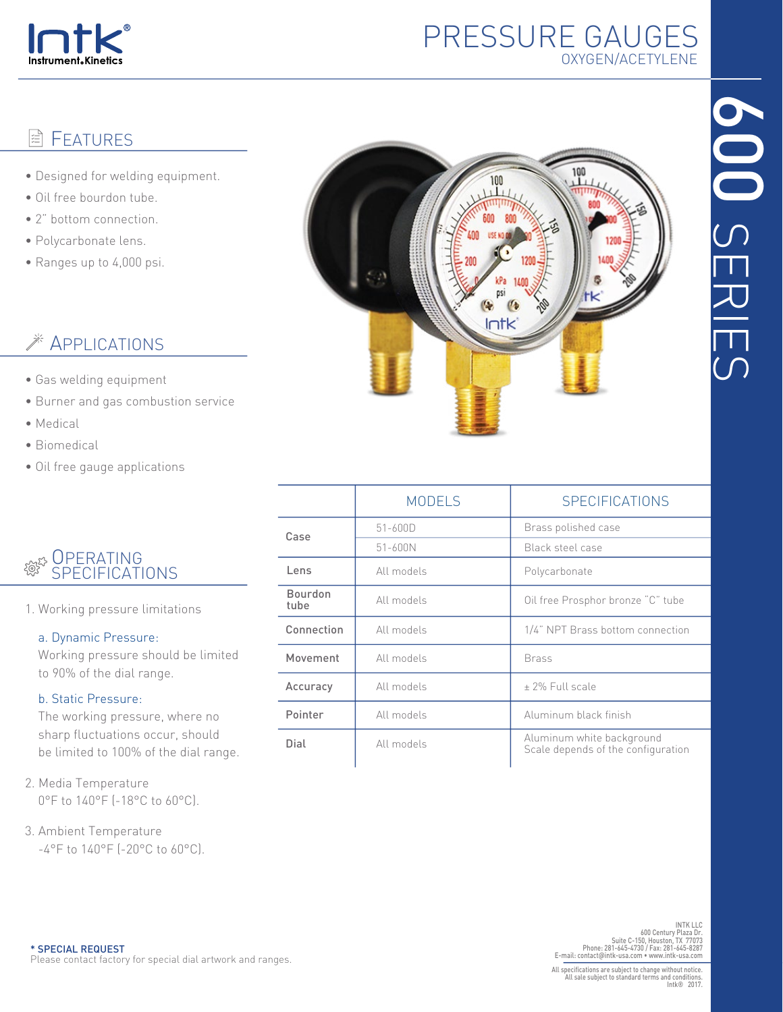

## PRESSURE GAUGES OXYGEN/ACETYLENE

#### FEATURES E

- Designed for welding equipment.
- Oil free bourdon tube.
- 2" bottom connection.
- Polycarbonate lens.
- Ranges up to 4,000 psi.

# **Example 25 APPLICATIONS**

- Gas welding equipment
- Burner and gas combustion service
- Medical
- Biomedical
- Oil free gauge applications

### **OPERATING** SPECIFICATIONS

1. Working pressure limitations

### a. Dynamic Pressure:

 Working pressure should be limited to 90% of the dial range.

### b. Static Pressure:

 The working pressure, where no sharp fluctuations occur, should be limited to 100% of the dial range.

- 2. Media Temperature 0°F to 140°F (-18°C to 60°C).
- 3. Ambient Temperature -4°F to 140°F (-20°C to 60°C).



|                        | <b>MODELS</b> | SPECIFICATIONS                                                  |  |  |
|------------------------|---------------|-----------------------------------------------------------------|--|--|
| Case                   | $51 - 600D$   | Brass polished case                                             |  |  |
|                        | 51-600N       | Black steel case                                                |  |  |
| Lens                   | All models    | Polycarbonate                                                   |  |  |
| <b>Bourdon</b><br>tube | All models    | Oil free Prosphor bronze "C" tube                               |  |  |
| Connection             | All models    | 1/4" NPT Brass bottom connection                                |  |  |
| Movement               | All models    | <b>Brass</b>                                                    |  |  |
| Accuracy               | All models    | + 2% Full scale                                                 |  |  |
| Pointer                | All models    | Aluminum black finish                                           |  |  |
| Dial                   | All models    | Aluminum white background<br>Scale depends of the configuration |  |  |

INTK LLC 600 Century Plaza Dr. Suite C-150, Houston, TX 77073 Phone: 281-645-4730 / Fax: 281-645-8287 E-mail: contact@intk-usa.com • www.intk-usa.com